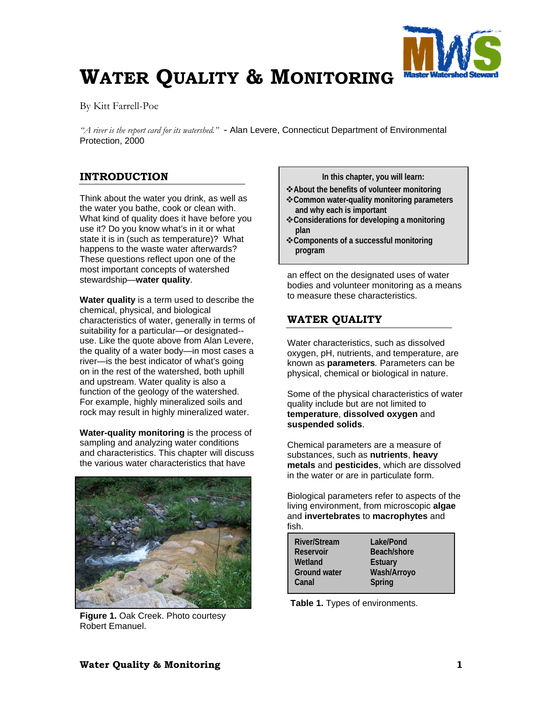

# **WATER QUALITY & MONITORING**

By Kitt Farrell-Poe

*"A river is the report card for its watershed."* - Alan Levere, Connecticut Department of Environmental Protection, 2000

# **INTRODUCTION**

Think about the water you drink, as well as the water you bathe, cook or clean with. What kind of quality does it have before you use it? Do you know what's in it or what state it is in (such as temperature)? What happens to the waste water afterwards? These questions reflect upon one of the most important concepts of watershed stewardship—**water quality**.

**Water quality** is a term used to describe the chemical, physical, and biological characteristics of water, generally in terms of suitability for a particular—or designated- use. Like the quote above from Alan Levere, the quality of a water body—in most cases a river—is the best indicator of what's going on in the rest of the watershed, both uphill and upstream. Water quality is also a function of the geology of the watershed. For example, highly mineralized soils and rock may result in highly mineralized water.

**Water-quality monitoring** is the process of sampling and analyzing water conditions and characteristics. This chapter will discuss the various water characteristics that have



**Figure 1.** Oak Creek. Photo courtesy Robert Emanuel.

**In this chapter, you will learn:** 

- **About the benefits of volunteer monitoring**
- **Common water-quality monitoring parameters and why each is important**
- **Considerations for developing a monitoring plan**
- **Components of a successful monitoring program**

an effect on the designated uses of water bodies and volunteer monitoring as a means to measure these characteristics.

# **WATER QUALITY**

Water characteristics, such as dissolved oxygen, pH, nutrients, and temperature, are known as **parameters***.* Parameters can be physical, chemical or biological in nature.

Some of the physical characteristics of water quality include but are not limited to **temperature**, **dissolved oxygen** and **suspended solids**.

Chemical parameters are a measure of substances, such as **nutrients**, **heavy metals** and **pesticides**, which are dissolved in the water or are in particulate form.

Biological parameters refer to aspects of the living environment, from microscopic **algae** and **invertebrates** to **macrophytes** and fish.

| Lake/Pond      |
|----------------|
| Beach/shore    |
| <b>Estuary</b> |
| Wash/Arroyo    |
| Spring         |
|                |

**Table 1.** Types of environments.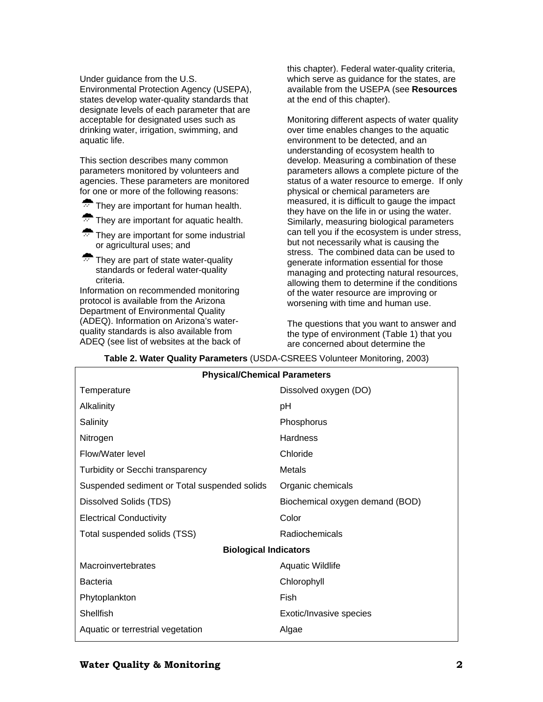Under guidance from the U.S. Environmental Protection Agency (USEPA), states develop water-quality standards that designate levels of each parameter that are acceptable for designated uses such as drinking water, irrigation, swimming, and aquatic life.

This section describes many common parameters monitored by volunteers and agencies. These parameters are monitored for one or more of the following reasons:

- $\sqrt{2\pi}$  They are important for human health.
- They are important for aquatic health.
- $\sqrt{2\pi}$  They are important for some industrial or agricultural uses; and
- $\overline{M}$  They are part of state water-quality standards or federal water-quality criteria.

Information on recommended monitoring protocol is available from the Arizona Department of Environmental Quality (ADEQ). Information on Arizona's waterquality standards is also available from ADEQ (see list of websites at the back of this chapter). Federal water-quality criteria, which serve as guidance for the states, are available from the USEPA (see **Resources** at the end of this chapter).

Monitoring different aspects of water quality over time enables changes to the aquatic environment to be detected, and an understanding of ecosystem health to develop. Measuring a combination of these parameters allows a complete picture of the status of a water resource to emerge. If only physical or chemical parameters are measured, it is difficult to gauge the impact they have on the life in or using the water. Similarly, measuring biological parameters can tell you if the ecosystem is under stress, but not necessarily what is causing the stress. The combined data can be used to generate information essential for those managing and protecting natural resources, allowing them to determine if the conditions of the water resource are improving or worsening with time and human use.

The questions that you want to answer and the type of environment (Table 1) that you are concerned about determine the

| <b>Physical/Chemical Parameters</b>          |                                 |  |  |  |
|----------------------------------------------|---------------------------------|--|--|--|
| Temperature                                  | Dissolved oxygen (DO)           |  |  |  |
| Alkalinity                                   | рH                              |  |  |  |
| Salinity                                     | Phosphorus                      |  |  |  |
| Nitrogen                                     | <b>Hardness</b>                 |  |  |  |
| Flow/Water level                             | Chloride                        |  |  |  |
| Turbidity or Secchi transparency             | Metals                          |  |  |  |
| Suspended sediment or Total suspended solids | Organic chemicals               |  |  |  |
| Dissolved Solids (TDS)                       | Biochemical oxygen demand (BOD) |  |  |  |
| <b>Electrical Conductivity</b>               | Color                           |  |  |  |
| Total suspended solids (TSS)                 | Radiochemicals                  |  |  |  |
| <b>Biological Indicators</b>                 |                                 |  |  |  |
| Macroinvertebrates                           | <b>Aquatic Wildlife</b>         |  |  |  |
| <b>Bacteria</b>                              | Chlorophyll                     |  |  |  |
| Phytoplankton                                | Fish                            |  |  |  |
| <b>Shellfish</b>                             | Exotic/Invasive species         |  |  |  |
| Aquatic or terrestrial vegetation            | Algae                           |  |  |  |
|                                              |                                 |  |  |  |

**Table 2. Water Quality Parameters** (USDA-CSREES Volunteer Monitoring, 2003)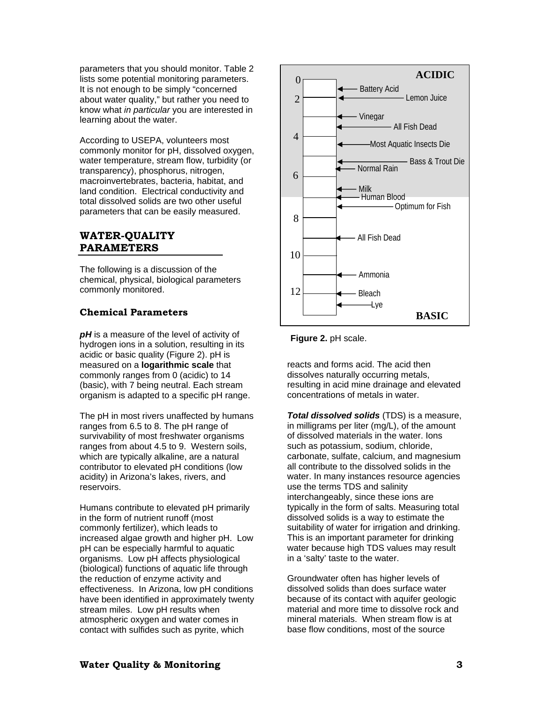parameters that you should monitor. Table 2 lists some potential monitoring parameters. It is not enough to be simply "concerned about water quality," but rather you need to know what *in particular* you are interested in learning about the water.

According to USEPA, volunteers most commonly monitor for pH, dissolved oxygen, water temperature, stream flow, turbidity (or transparency), phosphorus, nitrogen, macroinvertebrates, bacteria, habitat, and land condition. Electrical conductivity and total dissolved solids are two other useful parameters that can be easily measured.

## **WATER-QUALITY PARAMETERS**

The following is a discussion of the chemical, physical, biological parameters commonly monitored.

## **Chemical Parameters**

*pH* is a measure of the level of activity of hydrogen ions in a solution, resulting in its acidic or basic quality (Figure 2). pH is measured on a **logarithmic scale** that commonly ranges from 0 (acidic) to 14 (basic), with 7 being neutral. Each stream organism is adapted to a specific pH range.

The pH in most rivers unaffected by humans ranges from 6.5 to 8. The pH range of survivability of most freshwater organisms ranges from about 4.5 to 9. Western soils, which are typically alkaline, are a natural contributor to elevated pH conditions (low acidity) in Arizona's lakes, rivers, and reservoirs.

Humans contribute to elevated pH primarily in the form of nutrient runoff (most commonly fertilizer), which leads to increased algae growth and higher pH. Low pH can be especially harmful to aquatic organisms. Low pH affects physiological (biological) functions of aquatic life through the reduction of enzyme activity and effectiveness. In Arizona, low pH conditions have been identified in approximately twenty stream miles. Low pH results when atmospheric oxygen and water comes in contact with sulfides such as pyrite, which



**Figure 2.** pH scale.

reacts and forms acid. The acid then dissolves naturally occurring metals, resulting in acid mine drainage and elevated concentrations of metals in water.

*Total dissolved solids* (TDS) is a measure, in milligrams per liter (mg/L), of the amount of dissolved materials in the water. Ions such as potassium, sodium, chloride, carbonate, sulfate, calcium, and magnesium all contribute to the dissolved solids in the water. In many instances resource agencies use the terms TDS and salinity interchangeably, since these ions are typically in the form of salts. Measuring total dissolved solids is a way to estimate the suitability of water for irrigation and drinking. This is an important parameter for drinking water because high TDS values may result in a 'salty' taste to the water.

Groundwater often has higher levels of dissolved solids than does surface water because of its contact with aquifer geologic material and more time to dissolve rock and mineral materials. When stream flow is at base flow conditions, most of the source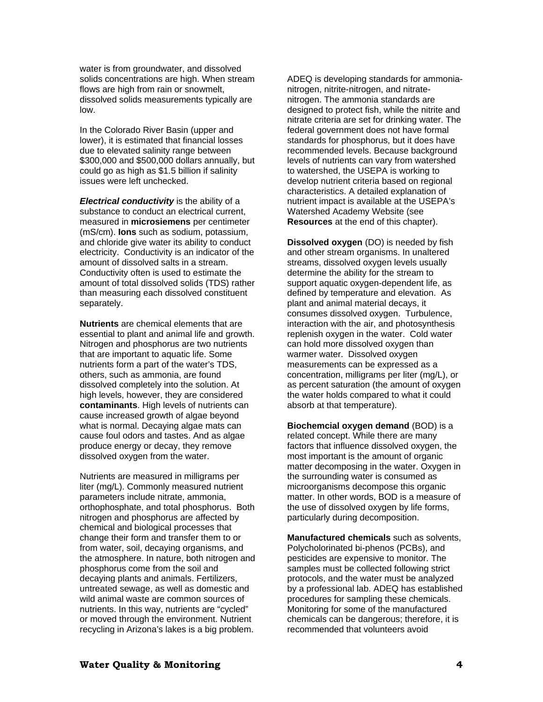water is from groundwater, and dissolved solids concentrations are high. When stream flows are high from rain or snowmelt. dissolved solids measurements typically are low.

In the Colorado River Basin (upper and lower), it is estimated that financial losses due to elevated salinity range between \$300,000 and \$500,000 dollars annually, but could go as high as \$1.5 billion if salinity issues were left unchecked.

*Electrical conductivity* is the ability of a substance to conduct an electrical current, measured in **microsiemens** per centimeter (mS/cm). **Ions** such as sodium, potassium, and chloride give water its ability to conduct electricity. Conductivity is an indicator of the amount of dissolved salts in a stream. Conductivity often is used to estimate the amount of total dissolved solids (TDS) rather than measuring each dissolved constituent separately.

**Nutrients** are chemical elements that are essential to plant and animal life and growth. Nitrogen and phosphorus are two nutrients that are important to aquatic life. Some nutrients form a part of the water's TDS, others, such as ammonia, are found dissolved completely into the solution. At high levels, however, they are considered **contaminants**. High levels of nutrients can cause increased growth of algae beyond what is normal. Decaving algae mats can cause foul odors and tastes. And as algae produce energy or decay, they remove dissolved oxygen from the water.

Nutrients are measured in milligrams per liter (mg/L). Commonly measured nutrient parameters include nitrate, ammonia, orthophosphate, and total phosphorus. Both nitrogen and phosphorus are affected by chemical and biological processes that change their form and transfer them to or from water, soil, decaying organisms, and the atmosphere. In nature, both nitrogen and phosphorus come from the soil and decaying plants and animals. Fertilizers, untreated sewage, as well as domestic and wild animal waste are common sources of nutrients. In this way, nutrients are "cycled" or moved through the environment. Nutrient recycling in Arizona's lakes is a big problem.

ADEQ is developing standards for ammonianitrogen, nitrite-nitrogen, and nitratenitrogen. The ammonia standards are designed to protect fish, while the nitrite and nitrate criteria are set for drinking water. The federal government does not have formal standards for phosphorus, but it does have recommended levels. Because background levels of nutrients can vary from watershed to watershed, the USEPA is working to develop nutrient criteria based on regional characteristics. A detailed explanation of nutrient impact is available at the USEPA's Watershed Academy Website (see **Resources** at the end of this chapter).

**Dissolved oxygen** (DO) is needed by fish and other stream organisms. In unaltered streams, dissolved oxygen levels usually determine the ability for the stream to support aquatic oxygen-dependent life, as defined by temperature and elevation. As plant and animal material decays, it consumes dissolved oxygen. Turbulence, interaction with the air, and photosynthesis replenish oxygen in the water. Cold water can hold more dissolved oxygen than warmer water. Dissolved oxygen measurements can be expressed as a concentration, milligrams per liter (mg/L), or as percent saturation (the amount of oxygen the water holds compared to what it could absorb at that temperature).

**Biochemcial oxygen demand** (BOD) is a related concept. While there are many factors that influence dissolved oxygen, the most important is the amount of organic matter decomposing in the water. Oxygen in the surrounding water is consumed as microorganisms decompose this organic matter. In other words, BOD is a measure of the use of dissolved oxygen by life forms, particularly during decomposition.

**Manufactured chemicals** such as solvents, Polycholorinated bi-phenos (PCBs), and pesticides are expensive to monitor. The samples must be collected following strict protocols, and the water must be analyzed by a professional lab. ADEQ has established procedures for sampling these chemicals. Monitoring for some of the manufactured chemicals can be dangerous; therefore, it is recommended that volunteers avoid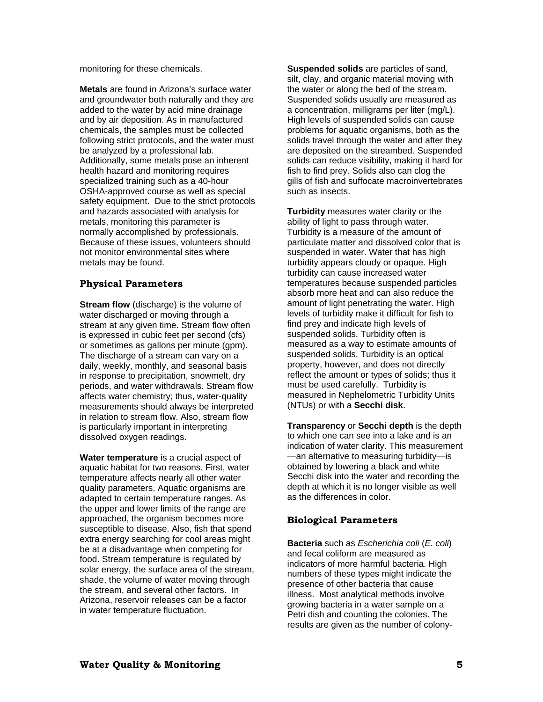monitoring for these chemicals.

**Metals** are found in Arizona's surface water and groundwater both naturally and they are added to the water by acid mine drainage and by air deposition. As in manufactured chemicals, the samples must be collected following strict protocols, and the water must be analyzed by a professional lab. Additionally, some metals pose an inherent health hazard and monitoring requires specialized training such as a 40-hour OSHA-approved course as well as special safety equipment. Due to the strict protocols and hazards associated with analysis for metals, monitoring this parameter is normally accomplished by professionals. Because of these issues, volunteers should not monitor environmental sites where metals may be found.

### **Physical Parameters**

**Stream flow** (discharge) is the volume of water discharged or moving through a stream at any given time. Stream flow often is expressed in cubic feet per second (cfs) or sometimes as gallons per minute (gpm). The discharge of a stream can vary on a daily, weekly, monthly, and seasonal basis in response to precipitation, snowmelt, dry periods, and water withdrawals. Stream flow affects water chemistry; thus, water-quality measurements should always be interpreted in relation to stream flow. Also, stream flow is particularly important in interpreting dissolved oxygen readings.

**Water temperature** is a crucial aspect of aquatic habitat for two reasons. First, water temperature affects nearly all other water quality parameters. Aquatic organisms are adapted to certain temperature ranges. As the upper and lower limits of the range are approached, the organism becomes more susceptible to disease. Also, fish that spend extra energy searching for cool areas might be at a disadvantage when competing for food. Stream temperature is regulated by solar energy, the surface area of the stream, shade, the volume of water moving through the stream, and several other factors. In Arizona, reservoir releases can be a factor in water temperature fluctuation.

**Suspended solids** are particles of sand, silt, clay, and organic material moving with the water or along the bed of the stream. Suspended solids usually are measured as a concentration, milligrams per liter (mg/L). High levels of suspended solids can cause problems for aquatic organisms, both as the solids travel through the water and after they are deposited on the streambed. Suspended solids can reduce visibility, making it hard for fish to find prey. Solids also can clog the gills of fish and suffocate macroinvertebrates such as insects.

**Turbidity** measures water clarity or the ability of light to pass through water. Turbidity is a measure of the amount of particulate matter and dissolved color that is suspended in water. Water that has high turbidity appears cloudy or opaque. High turbidity can cause increased water temperatures because suspended particles absorb more heat and can also reduce the amount of light penetrating the water. High levels of turbidity make it difficult for fish to find prey and indicate high levels of suspended solids. Turbidity often is measured as a way to estimate amounts of suspended solids. Turbidity is an optical property, however, and does not directly reflect the amount or types of solids; thus it must be used carefully. Turbidity is measured in Nephelometric Turbidity Units (NTUs) or with a **Secchi disk**.

**Transparency** or **Secchi depth** is the depth to which one can see into a lake and is an indication of water clarity. This measurement —an alternative to measuring turbidity—is obtained by lowering a black and white Secchi disk into the water and recording the depth at which it is no longer visible as well as the differences in color.

## **Biological Parameters**

**Bacteria** such as *Escherichia coli* (*E. coli*) and fecal coliform are measured as indicators of more harmful bacteria. High numbers of these types might indicate the presence of other bacteria that cause illness. Most analytical methods involve growing bacteria in a water sample on a Petri dish and counting the colonies. The results are given as the number of colony-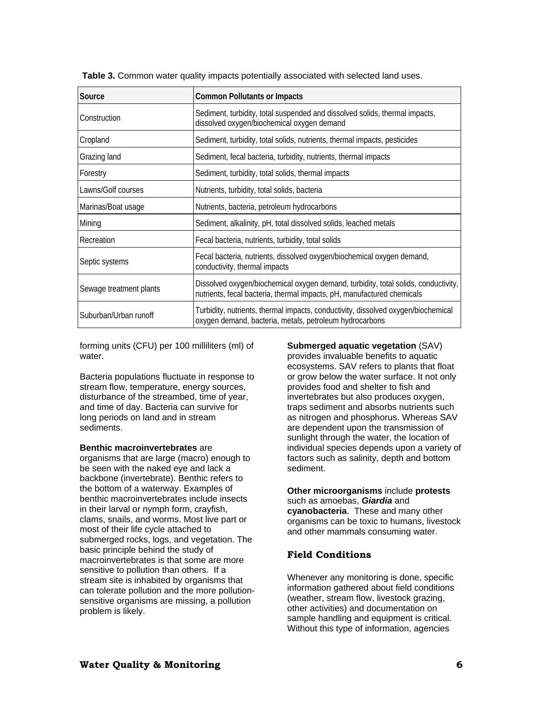| Source                  | <b>Common Pollutants or Impacts</b>                                                                                                                          |
|-------------------------|--------------------------------------------------------------------------------------------------------------------------------------------------------------|
| Construction            | Sediment, turbidity, total suspended and dissolved solids, thermal impacts,<br>dissolved oxygen/biochemical oxygen demand                                    |
| Cropland                | Sediment, turbidity, total solids, nutrients, thermal impacts, pesticides                                                                                    |
| Grazing land            | Sediment, fecal bacteria, turbidity, nutrients, thermal impacts                                                                                              |
| Forestry                | Sediment, turbidity, total solids, thermal impacts                                                                                                           |
| Lawns/Golf courses      | Nutrients, turbidity, total solids, bacteria                                                                                                                 |
| Marinas/Boat usage      | Nutrients, bacteria, petroleum hydrocarbons                                                                                                                  |
| Mining                  | Sediment, alkalinity, pH, total dissolved solids, leached metals                                                                                             |
| Recreation              | Fecal bacteria, nutrients, turbidity, total solids                                                                                                           |
| Septic systems          | Fecal bacteria, nutrients, dissolved oxygen/biochemical oxygen demand,<br>conductivity, thermal impacts                                                      |
| Sewage treatment plants | Dissolved oxygen/biochemical oxygen demand, turbidity, total solids, conductivity,<br>nutrients, fecal bacteria, thermal impacts, pH, manufactured chemicals |
| Suburban/Urban runoff   | Turbidity, nutrients, thermal impacts, conductivity, dissolved oxygen/biochemical<br>oxygen demand, bacteria, metals, petroleum hydrocarbons                 |

**Table 3.** Common water quality impacts potentially associated with selected land uses.

forming units (CFU) per 100 milliliters (ml) of water.

Bacteria populations fluctuate in response to stream flow, temperature, energy sources, disturbance of the streambed, time of year, and time of day. Bacteria can survive for long periods on land and in stream sediments.

#### **Benthic macroinvertebrates** are

organisms that are large (macro) enough to be seen with the naked eye and lack a backbone (invertebrate). Benthic refers to the bottom of a waterway. Examples of benthic macroinvertebrates include insects in their larval or nymph form, crayfish, clams, snails, and worms. Most live part or most of their life cycle attached to submerged rocks, logs, and vegetation. The basic principle behind the study of macroinvertebrates is that some are more sensitive to pollution than others. If a stream site is inhabited by organisms that can tolerate pollution and the more pollutionsensitive organisms are missing, a pollution problem is likely.

#### **Submerged aquatic vegetation** (SAV)

provides invaluable benefits to aquatic ecosystems. SAV refers to plants that float or grow below the water surface. It not only provides food and shelter to fish and invertebrates but also produces oxygen, traps sediment and absorbs nutrients such as nitrogen and phosphorus. Whereas SAV are dependent upon the transmission of sunlight through the water, the location of individual species depends upon a variety of factors such as salinity, depth and bottom sediment.

#### **Other microorganisms** include **protests** such as amoebas, *Giardia* and **cyanobacteria**. These and many other organisms can be toxic to humans, livestock and other mammals consuming water.

## **Field Conditions**

Whenever any monitoring is done, specific information gathered about field conditions (weather, stream flow, livestock grazing, other activities) and documentation on sample handling and equipment is critical. Without this type of information, agencies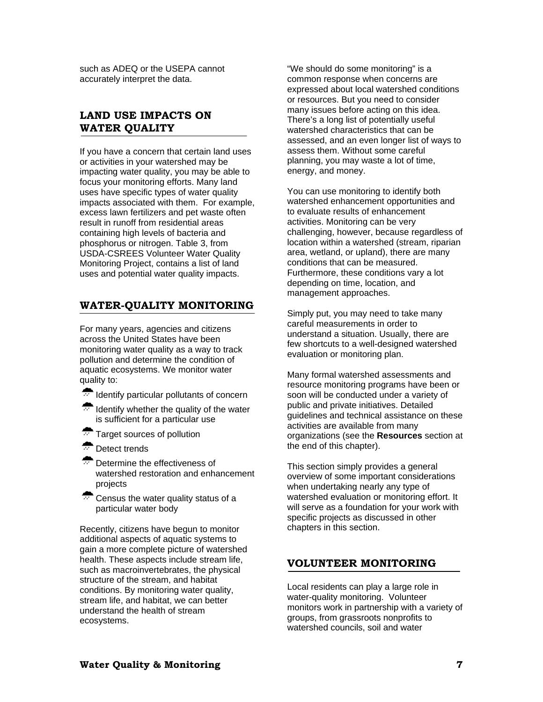such as ADEQ or the USEPA cannot accurately interpret the data.

## **LAND USE IMPACTS ON WATER QUALITY**

If you have a concern that certain land uses or activities in your watershed may be impacting water quality, you may be able to focus your monitoring efforts. Many land uses have specific types of water quality impacts associated with them. For example, excess lawn fertilizers and pet waste often result in runoff from residential areas containing high levels of bacteria and phosphorus or nitrogen. Table 3, from USDA-CSREES Volunteer Water Quality Monitoring Project, contains a list of land uses and potential water quality impacts.

## **WATER-QUALITY MONITORING**

For many years, agencies and citizens across the United States have been monitoring water quality as a way to track pollution and determine the condition of aquatic ecosystems. We monitor water quality to:

- $\overline{U}$  Identify particular pollutants of concern
- $\sqrt{10}$  Identify whether the quality of the water is sufficient for a particular use
- $\overline{C}$  Target sources of pollution
- <sup>₩</sup> Detect trends
- $\overline{A}$  Determine the effectiveness of watershed restoration and enhancement projects
- $\sqrt{2\pi}$  Census the water quality status of a particular water body

Recently, citizens have begun to monitor additional aspects of aquatic systems to gain a more complete picture of watershed health. These aspects include stream life, such as macroinvertebrates, the physical structure of the stream, and habitat conditions. By monitoring water quality, stream life, and habitat, we can better understand the health of stream ecosystems.

"We should do some monitoring" is a common response when concerns are expressed about local watershed conditions or resources. But you need to consider many issues before acting on this idea. There's a long list of potentially useful watershed characteristics that can be assessed, and an even longer list of ways to assess them. Without some careful planning, you may waste a lot of time, energy, and money.

You can use monitoring to identify both watershed enhancement opportunities and to evaluate results of enhancement activities. Monitoring can be very challenging, however, because regardless of location within a watershed (stream, riparian area, wetland, or upland), there are many conditions that can be measured. Furthermore, these conditions vary a lot depending on time, location, and management approaches.

Simply put, you may need to take many careful measurements in order to understand a situation. Usually, there are few shortcuts to a well-designed watershed evaluation or monitoring plan.

Many formal watershed assessments and resource monitoring programs have been or soon will be conducted under a variety of public and private initiatives. Detailed guidelines and technical assistance on these activities are available from many organizations (see the **Resources** section at the end of this chapter).

This section simply provides a general overview of some important considerations when undertaking nearly any type of watershed evaluation or monitoring effort. It will serve as a foundation for your work with specific projects as discussed in other chapters in this section.

## **VOLUNTEER MONITORING**

Local residents can play a large role in water-quality monitoring. Volunteer monitors work in partnership with a variety of groups, from grassroots nonprofits to watershed councils, soil and water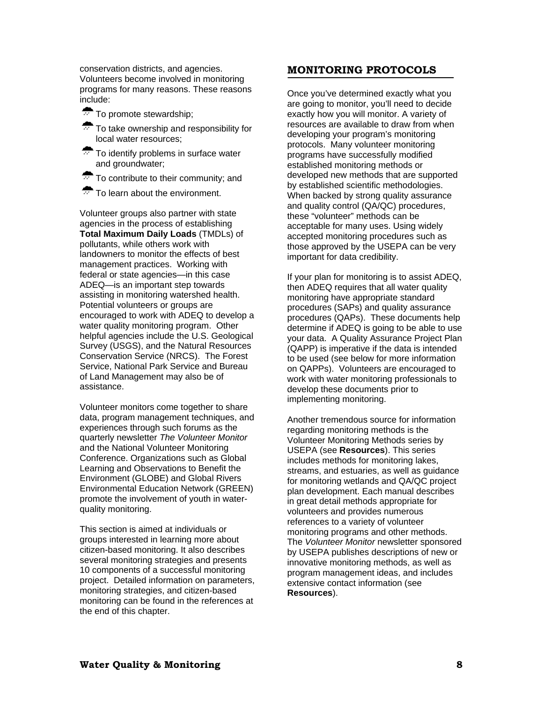conservation districts, and agencies. Volunteers become involved in monitoring programs for many reasons. These reasons include:

- $\bigtriangledown$  To promote stewardship;
- $\sqrt{2\pi}$  To take ownership and responsibility for local water resources;
- $\overline{C}$  To identify problems in surface water and groundwater:
- $\overline{M}$  To contribute to their community; and
- $\overline{X}$  To learn about the environment.

Volunteer groups also partner with state agencies in the process of establishing **Total Maximum Daily Loads** (TMDLs) of pollutants, while others work with landowners to monitor the effects of best management practices. Working with federal or state agencies—in this case ADEQ—is an important step towards assisting in monitoring watershed health. Potential volunteers or groups are encouraged to work with ADEQ to develop a water quality monitoring program. Other helpful agencies include the U.S. Geological Survey (USGS), and the Natural Resources Conservation Service (NRCS). The Forest Service, National Park Service and Bureau of Land Management may also be of assistance.

Volunteer monitors come together to share data, program management techniques, and experiences through such forums as the quarterly newsletter *The Volunteer Monitor* and the National Volunteer Monitoring Conference. Organizations such as Global Learning and Observations to Benefit the Environment (GLOBE) and Global Rivers Environmental Education Network (GREEN) promote the involvement of youth in waterquality monitoring.

This section is aimed at individuals or groups interested in learning more about citizen-based monitoring. It also describes several monitoring strategies and presents 10 components of a successful monitoring project. Detailed information on parameters, monitoring strategies, and citizen-based monitoring can be found in the references at the end of this chapter.

## **MONITORING PROTOCOLS**

Once you've determined exactly what you are going to monitor, you'll need to decide exactly how you will monitor. A variety of resources are available to draw from when developing your program's monitoring protocols. Many volunteer monitoring programs have successfully modified established monitoring methods or developed new methods that are supported by established scientific methodologies. When backed by strong quality assurance and quality control (QA/QC) procedures, these "volunteer" methods can be acceptable for many uses. Using widely accepted monitoring procedures such as those approved by the USEPA can be very important for data credibility.

If your plan for monitoring is to assist ADEQ, then ADEQ requires that all water quality monitoring have appropriate standard procedures (SAPs) and quality assurance procedures (QAPs). These documents help determine if ADEQ is going to be able to use your data. A Quality Assurance Project Plan (QAPP) is imperative if the data is intended to be used (see below for more information on QAPPs). Volunteers are encouraged to work with water monitoring professionals to develop these documents prior to implementing monitoring.

Another tremendous source for information regarding monitoring methods is the Volunteer Monitoring Methods series by USEPA (see **Resources**). This series includes methods for monitoring lakes, streams, and estuaries, as well as guidance for monitoring wetlands and QA/QC project plan development. Each manual describes in great detail methods appropriate for volunteers and provides numerous references to a variety of volunteer monitoring programs and other methods. The *Volunteer Monitor* newsletter sponsored by USEPA publishes descriptions of new or innovative monitoring methods, as well as program management ideas, and includes extensive contact information (see **Resources**).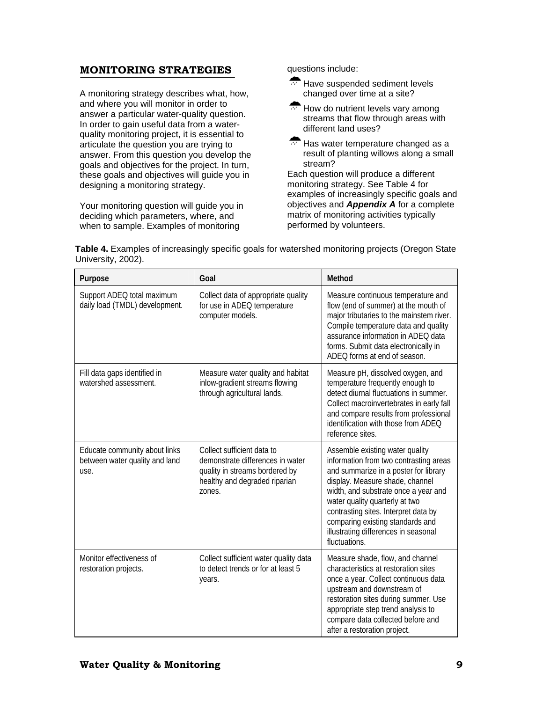# **MONITORING STRATEGIES**

A monitoring strategy describes what, how, and where you will monitor in order to answer a particular water-quality question. In order to gain useful data from a waterquality monitoring project, it is essential to articulate the question you are trying to answer. From this question you develop the goals and objectives for the project. In turn, these goals and objectives will guide you in designing a monitoring strategy.

Your monitoring question will guide you in deciding which parameters, where, and when to sample. Examples of monitoring

questions include:

- $\bigoplus$  Have suspended sediment levels changed over time at a site?
- $\overline{H}$  How do nutrient levels vary among streams that flow through areas with different land uses?
- $\rightarrow$  Has water temperature changed as a result of planting willows along a small stream?

Each question will produce a different monitoring strategy. See Table 4 for examples of increasingly specific goals and objectives and *Appendix A* for a complete matrix of monitoring activities typically performed by volunteers.

| Purpose                                                                 | Goal                                                                                                                                        | Method                                                                                                                                                                                                                                                                                                                                                               |
|-------------------------------------------------------------------------|---------------------------------------------------------------------------------------------------------------------------------------------|----------------------------------------------------------------------------------------------------------------------------------------------------------------------------------------------------------------------------------------------------------------------------------------------------------------------------------------------------------------------|
| Support ADEQ total maximum<br>daily load (TMDL) development.            | Collect data of appropriate quality<br>for use in ADEQ temperature<br>computer models.                                                      | Measure continuous temperature and<br>flow (end of summer) at the mouth of<br>major tributaries to the mainstem river.<br>Compile temperature data and quality<br>assurance information in ADEQ data<br>forms. Submit data electronically in<br>ADEQ forms at end of season.                                                                                         |
| Fill data gaps identified in<br>watershed assessment.                   | Measure water quality and habitat<br>inlow-gradient streams flowing<br>through agricultural lands.                                          | Measure pH, dissolved oxygen, and<br>temperature frequently enough to<br>detect diurnal fluctuations in summer.<br>Collect macroinvertebrates in early fall<br>and compare results from professional<br>identification with those from ADEO<br>reference sites.                                                                                                      |
| Educate community about links<br>between water quality and land<br>use. | Collect sufficient data to<br>demonstrate differences in water<br>quality in streams bordered by<br>healthy and degraded riparian<br>zones. | Assemble existing water quality<br>information from two contrasting areas<br>and summarize in a poster for library<br>display. Measure shade, channel<br>width, and substrate once a year and<br>water quality quarterly at two<br>contrasting sites. Interpret data by<br>comparing existing standards and<br>illustrating differences in seasonal<br>fluctuations. |
| Monitor effectiveness of<br>restoration projects.                       | Collect sufficient water quality data<br>to detect trends or for at least 5<br>years.                                                       | Measure shade, flow, and channel<br>characteristics at restoration sites<br>once a year. Collect continuous data<br>upstream and downstream of<br>restoration sites during summer. Use<br>appropriate step trend analysis to<br>compare data collected before and<br>after a restoration project.                                                                    |

**Table 4.** Examples of increasingly specific goals for watershed monitoring projects (Oregon State University, 2002).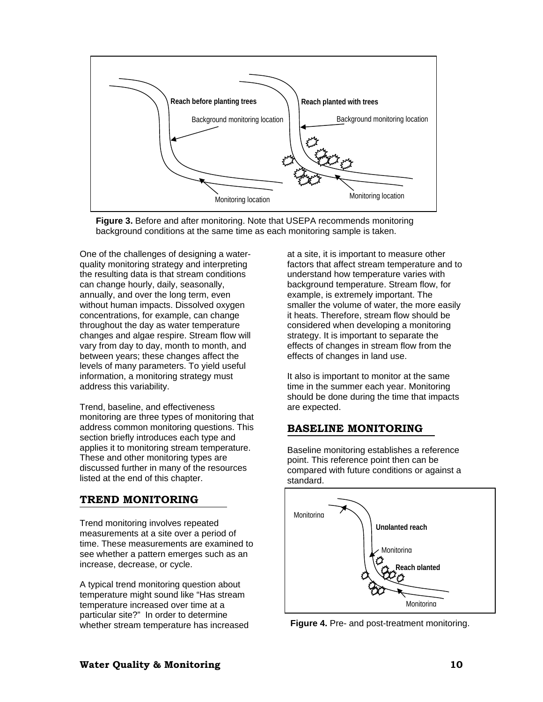

**Figure 3.** Before and after monitoring. Note that USEPA recommends monitoring background conditions at the same time as each monitoring sample is taken.

One of the challenges of designing a waterquality monitoring strategy and interpreting the resulting data is that stream conditions can change hourly, daily, seasonally, annually, and over the long term, even without human impacts. Dissolved oxygen concentrations, for example, can change throughout the day as water temperature changes and algae respire. Stream flow will vary from day to day, month to month, and between years; these changes affect the levels of many parameters. To yield useful information, a monitoring strategy must address this variability.

Trend, baseline, and effectiveness monitoring are three types of monitoring that address common monitoring questions. This section briefly introduces each type and applies it to monitoring stream temperature. These and other monitoring types are discussed further in many of the resources listed at the end of this chapter.

## **TREND MONITORING**

Trend monitoring involves repeated measurements at a site over a period of time. These measurements are examined to see whether a pattern emerges such as an increase, decrease, or cycle.

A typical trend monitoring question about temperature might sound like "Has stream temperature increased over time at a particular site?" In order to determine whether stream temperature has increased at a site, it is important to measure other factors that affect stream temperature and to understand how temperature varies with background temperature. Stream flow, for example, is extremely important. The smaller the volume of water, the more easily it heats. Therefore, stream flow should be considered when developing a monitoring strategy. It is important to separate the effects of changes in stream flow from the effects of changes in land use.

It also is important to monitor at the same time in the summer each year. Monitoring should be done during the time that impacts are expected.

# **BASELINE MONITORING**

Baseline monitoring establishes a reference point. This reference point then can be compared with future conditions or against a standard.



**Figure 4.** Pre- and post-treatment monitoring.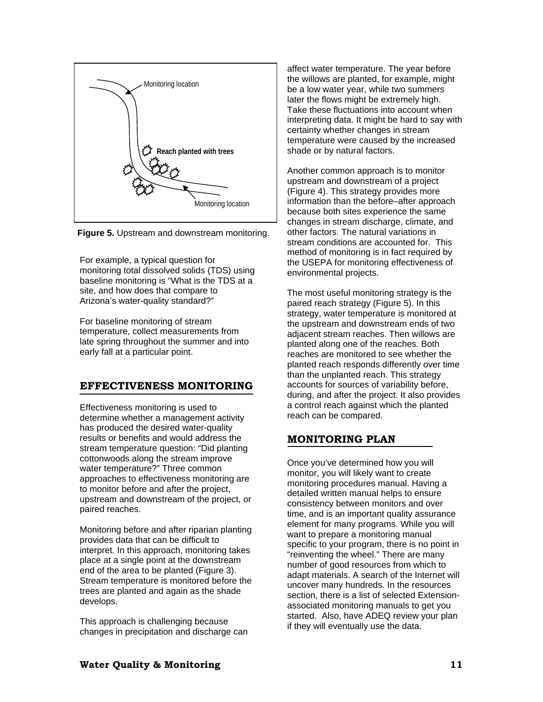



For example, a typical question for monitoring total dissolved solids (TDS) using baseline monitoring is "What is the TDS at a site, and how does that compare to Arizona's water-quality standard?"

For baseline monitoring of stream temperature, collect measurements from late spring throughout the summer and into early fall at a particular point.

## **EFFECTIVENESS MONITORING**

Effectiveness monitoring is used to determine whether a management activity has produced the desired water-quality results or benefits and would address the stream temperature question: "Did planting cottonwoods along the stream improve water temperature?" Three common approaches to effectiveness monitoring are to monitor before and after the project, upstream and downstream of the project, or paired reaches.

Monitoring before and after riparian planting provides data that can be difficult to interpret. In this approach, monitoring takes place at a single point at the downstream end of the area to be planted (Figure 3). Stream temperature is monitored before the trees are planted and again as the shade develops.

This approach is challenging because changes in precipitation and discharge can affect water temperature. The year before the willows are planted, for example, might be a low water year, while two summers later the flows might be extremely high. Take these fluctuations into account when interpreting data. It might be hard to say with certainty whether changes in stream temperature were caused by the increased shade or by natural factors.

Another common approach is to monitor upstream and downstream of a project (Figure 4). This strategy provides more information than the before–after approach because both sites experience the same changes in stream discharge, climate, and other factors. The natural variations in stream conditions are accounted for. This method of monitoring is in fact required by the USEPA for monitoring effectiveness of environmental projects.

The most useful monitoring strategy is the paired reach strategy (Figure 5). In this strategy, water temperature is monitored at the upstream and downstream ends of two adjacent stream reaches. Then willows are planted along one of the reaches. Both reaches are monitored to see whether the planted reach responds differently over time than the unplanted reach. This strategy accounts for sources of variability before, during, and after the project. It also provides a control reach against which the planted reach can be compared.

# **MONITORING PLAN**

Once you've determined how you will monitor, you will likely want to create monitoring procedures manual. Having a detailed written manual helps to ensure consistency between monitors and over time, and is an important quality assurance element for many programs. While you will want to prepare a monitoring manual specific to your program, there is no point in "reinventing the wheel." There are many number of good resources from which to adapt materials. A search of the Internet will uncover many hundreds. In the resources section, there is a list of selected Extensionassociated monitoring manuals to get you started. Also, have ADEQ review your plan if they will eventually use the data.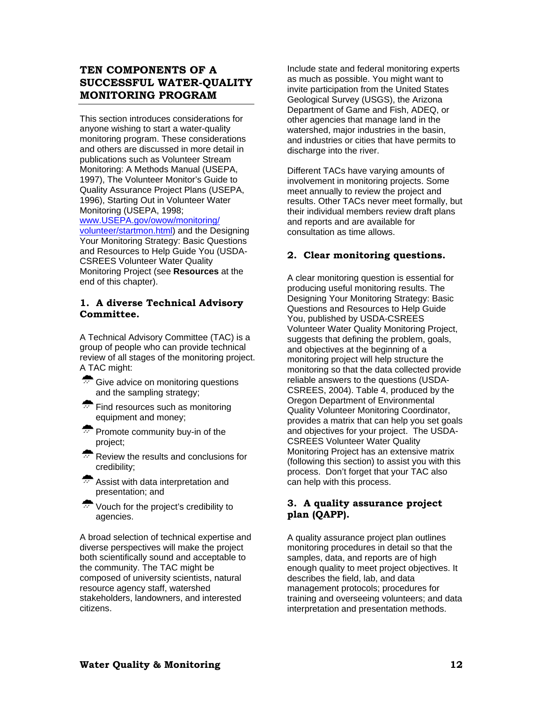# **TEN COMPONENTS OF A SUCCESSFUL WATER-QUALITY MONITORING PROGRAM**

This section introduces considerations for anyone wishing to start a water-quality monitoring program. These considerations and others are discussed in more detail in publications such as Volunteer Stream Monitoring: A Methods Manual (USEPA, 1997), The Volunteer Monitor's Guide to Quality Assurance Project Plans (USEPA, 1996), Starting Out in Volunteer Water Monitoring (USEPA, 1998;

www.USEPA.gov/owow/monitoring/

volunteer/startmon.html) and the Designing Your Monitoring Strategy: Basic Questions and Resources to Help Guide You (USDA-CSREES Volunteer Water Quality Monitoring Project (see **Resources** at the end of this chapter).

## **1. A diverse Technical Advisory Committee.**

A Technical Advisory Committee (TAC) is a group of people who can provide technical review of all stages of the monitoring project. A TAC might:

- $\overline{\mathcal{F}}$  Give advice on monitoring questions and the sampling strategy;
- $\overline{F}$  Find resources such as monitoring equipment and money;
- $\overline{w}$  Promote community buy-in of the project;
- ¼Review the results and conclusions for credibility;
- $\overline{A}$  Assist with data interpretation and presentation; and
- $\overline{\mathcal{F}}$  Vouch for the project's credibility to agencies.

A broad selection of technical expertise and diverse perspectives will make the project both scientifically sound and acceptable to the community. The TAC might be composed of university scientists, natural resource agency staff, watershed stakeholders, landowners, and interested citizens.

Include state and federal monitoring experts as much as possible. You might want to invite participation from the United States Geological Survey (USGS), the Arizona Department of Game and Fish, ADEQ, or other agencies that manage land in the watershed, major industries in the basin, and industries or cities that have permits to discharge into the river.

Different TACs have varying amounts of involvement in monitoring projects. Some meet annually to review the project and results. Other TACs never meet formally, but their individual members review draft plans and reports and are available for consultation as time allows.

## **2. Clear monitoring questions.**

A clear monitoring question is essential for producing useful monitoring results. The Designing Your Monitoring Strategy: Basic Questions and Resources to Help Guide You, published by USDA-CSREES Volunteer Water Quality Monitoring Project, suggests that defining the problem, goals, and objectives at the beginning of a monitoring project will help structure the monitoring so that the data collected provide reliable answers to the questions (USDA-CSREES, 2004). Table 4, produced by the Oregon Department of Environmental Quality Volunteer Monitoring Coordinator, provides a matrix that can help you set goals and objectives for your project. The USDA-CSREES Volunteer Water Quality Monitoring Project has an extensive matrix (following this section) to assist you with this process. Don't forget that your TAC also can help with this process.

### **3. A quality assurance project plan (QAPP).**

A quality assurance project plan outlines monitoring procedures in detail so that the samples, data, and reports are of high enough quality to meet project objectives. It describes the field, lab, and data management protocols; procedures for training and overseeing volunteers; and data interpretation and presentation methods.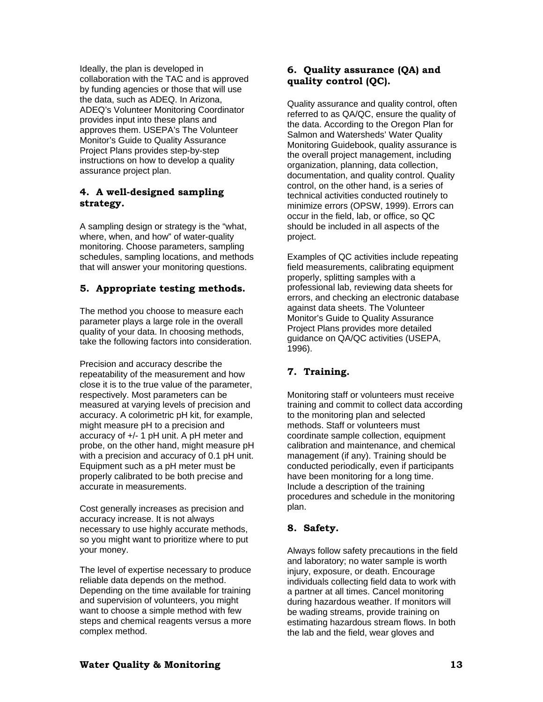Ideally, the plan is developed in collaboration with the TAC and is approved by funding agencies or those that will use the data, such as ADEQ. In Arizona, ADEQ's Volunteer Monitoring Coordinator provides input into these plans and approves them. USEPA's The Volunteer Monitor's Guide to Quality Assurance Project Plans provides step-by-step instructions on how to develop a quality assurance project plan.

## **4. A well-designed sampling strategy.**

A sampling design or strategy is the "what, where, when, and how" of water-quality monitoring. Choose parameters, sampling schedules, sampling locations, and methods that will answer your monitoring questions.

## **5. Appropriate testing methods.**

The method you choose to measure each parameter plays a large role in the overall quality of your data. In choosing methods, take the following factors into consideration.

Precision and accuracy describe the repeatability of the measurement and how close it is to the true value of the parameter, respectively. Most parameters can be measured at varying levels of precision and accuracy. A colorimetric pH kit, for example, might measure pH to a precision and accuracy of +/- 1 pH unit. A pH meter and probe, on the other hand, might measure pH with a precision and accuracy of 0.1 pH unit. Equipment such as a pH meter must be properly calibrated to be both precise and accurate in measurements.

Cost generally increases as precision and accuracy increase. It is not always necessary to use highly accurate methods, so you might want to prioritize where to put your money.

The level of expertise necessary to produce reliable data depends on the method. Depending on the time available for training and supervision of volunteers, you might want to choose a simple method with few steps and chemical reagents versus a more complex method.

## **6. Quality assurance (QA) and quality control (QC).**

Quality assurance and quality control, often referred to as QA/QC, ensure the quality of the data. According to the Oregon Plan for Salmon and Watersheds' Water Quality Monitoring Guidebook, quality assurance is the overall project management, including organization, planning, data collection, documentation, and quality control. Quality control, on the other hand, is a series of technical activities conducted routinely to minimize errors (OPSW, 1999). Errors can occur in the field, lab, or office, so QC should be included in all aspects of the project.

Examples of QC activities include repeating field measurements, calibrating equipment properly, splitting samples with a professional lab, reviewing data sheets for errors, and checking an electronic database against data sheets. The Volunteer Monitor's Guide to Quality Assurance Project Plans provides more detailed guidance on QA/QC activities (USEPA, 1996).

# **7. Training.**

Monitoring staff or volunteers must receive training and commit to collect data according to the monitoring plan and selected methods. Staff or volunteers must coordinate sample collection, equipment calibration and maintenance, and chemical management (if any). Training should be conducted periodically, even if participants have been monitoring for a long time. Include a description of the training procedures and schedule in the monitoring plan.

## **8. Safety.**

Always follow safety precautions in the field and laboratory; no water sample is worth injury, exposure, or death. Encourage individuals collecting field data to work with a partner at all times. Cancel monitoring during hazardous weather. If monitors will be wading streams, provide training on estimating hazardous stream flows. In both the lab and the field, wear gloves and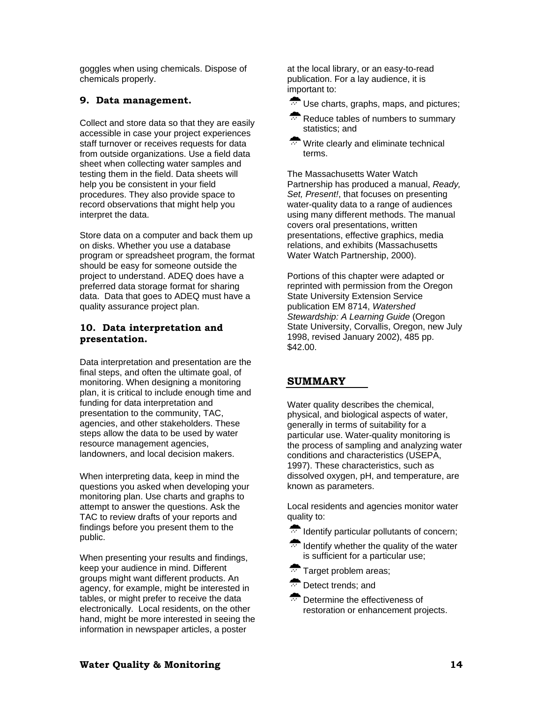goggles when using chemicals. Dispose of chemicals properly.

## **9. Data management.**

Collect and store data so that they are easily accessible in case your project experiences staff turnover or receives requests for data from outside organizations. Use a field data sheet when collecting water samples and testing them in the field. Data sheets will help you be consistent in your field procedures. They also provide space to record observations that might help you interpret the data.

Store data on a computer and back them up on disks. Whether you use a database program or spreadsheet program, the format should be easy for someone outside the project to understand. ADEQ does have a preferred data storage format for sharing data. Data that goes to ADEQ must have a quality assurance project plan.

## **10. Data interpretation and presentation.**

Data interpretation and presentation are the final steps, and often the ultimate goal, of monitoring. When designing a monitoring plan, it is critical to include enough time and funding for data interpretation and presentation to the community, TAC, agencies, and other stakeholders. These steps allow the data to be used by water resource management agencies, landowners, and local decision makers.

When interpreting data, keep in mind the questions you asked when developing your monitoring plan. Use charts and graphs to attempt to answer the questions. Ask the TAC to review drafts of your reports and findings before you present them to the public.

When presenting your results and findings, keep your audience in mind. Different groups might want different products. An agency, for example, might be interested in tables, or might prefer to receive the data electronically. Local residents, on the other hand, might be more interested in seeing the information in newspaper articles, a poster

at the local library, or an easy-to-read publication. For a lay audience, it is important to:

- $\clubsuit$  Use charts, graphs, maps, and pictures;
- $\mathbb{R}$  Reduce tables of numbers to summary statistics; and
- $\overline{M}$  Write clearly and eliminate technical terms.

The Massachusetts Water Watch Partnership has produced a manual, *Ready, Set, Present!*, that focuses on presenting water-quality data to a range of audiences using many different methods. The manual covers oral presentations, written presentations, effective graphics, media relations, and exhibits (Massachusetts Water Watch Partnership, 2000).

Portions of this chapter were adapted or reprinted with permission from the Oregon State University Extension Service publication EM 8714, *Watershed Stewardship: A Learning Guide* (Oregon State University, Corvallis, Oregon, new July 1998, revised January 2002), 485 pp. \$42.00.

# **SUMMARY**

Water quality describes the chemical, physical, and biological aspects of water, generally in terms of suitability for a particular use. Water-quality monitoring is the process of sampling and analyzing water conditions and characteristics (USEPA, 1997). These characteristics, such as dissolved oxygen, pH, and temperature, are known as parameters.

Local residents and agencies monitor water quality to:

- $\overline{10}$  Identify particular pollutants of concern;
- $\overline{11}$  Identify whether the quality of the water is sufficient for a particular use;
- $\sqrt{1 + r}$  Target problem areas;
- $\bigtriangledown$  Detect trends; and
- $\overline{w}$  Determine the effectiveness of restoration or enhancement projects.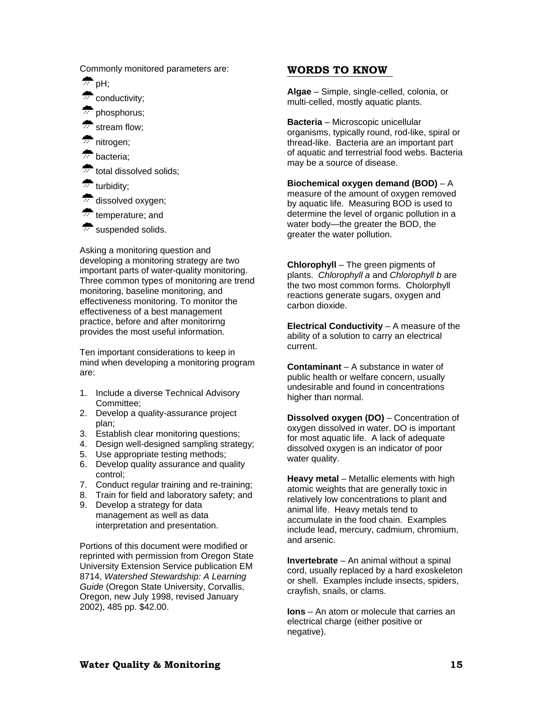Commonly monitored parameters are:

 $\clubsuit$  pH:

 $\bigstar$  conductivity;

 $\rightarrow$  phosphorus;

 $\clubsuit$  stream flow;

- $\rightarrow$  nitrogen;
- $\bigstar$  bacteria;

 $\bigstar$  total dissolved solids;

- $\bigstar$  turbidity;
- $\overline{a}$  dissolved oxygen;
- temperature; and
- suspended solids.

Asking a monitoring question and developing a monitoring strategy are two important parts of water-quality monitoring. Three common types of monitoring are trend monitoring, baseline monitoring, and effectiveness monitoring. To monitor the effectiveness of a best management practice, before and after monitorirng provides the most useful information.

Ten important considerations to keep in mind when developing a monitoring program are:

- 1. Include a diverse Technical Advisory Committee;
- 2. Develop a quality-assurance project plan;
- 3. Establish clear monitoring questions;
- 4. Design well-designed sampling strategy;
- 5. Use appropriate testing methods;
- 6. Develop quality assurance and quality control;
- 7. Conduct regular training and re-training;
- 8. Train for field and laboratory safety; and
- 9. Develop a strategy for data management as well as data interpretation and presentation.

Portions of this document were modified or reprinted with permission from Oregon State University Extension Service publication EM 8714, *Watershed Stewardship: A Learning Guide* (Oregon State University, Corvallis, Oregon, new July 1998, revised January 2002), 485 pp. \$42.00.

## **WORDS TO KNOW**

**Algae** – Simple, single-celled, colonia, or multi-celled, mostly aquatic plants.

**Bacteria** – Microscopic unicellular organisms, typically round, rod-like, spiral or thread-like. Bacteria are an important part of aquatic and terrestrial food webs. Bacteria may be a source of disease.

**Biochemical oxygen demand (BOD)** – A measure of the amount of oxygen removed by aquatic life. Measuring BOD is used to determine the level of organic pollution in a water body—the greater the BOD, the greater the water pollution.

**Chlorophyll** – The green pigments of plants. *Chlorophyll a* and *Chlorophyll b* are the two most common forms. Cholorphyll reactions generate sugars, oxygen and carbon dioxide.

**Electrical Conductivity** – A measure of the ability of a solution to carry an electrical current.

**Contaminant** – A substance in water of public health or welfare concern, usually undesirable and found in concentrations higher than normal.

**Dissolved oxygen (DO)** – Concentration of oxygen dissolved in water. DO is important for most aquatic life. A lack of adequate dissolved oxygen is an indicator of poor water quality.

**Heavy metal** – Metallic elements with high atomic weights that are generally toxic in relatively low concentrations to plant and animal life. Heavy metals tend to accumulate in the food chain. Examples include lead, mercury, cadmium, chromium, and arsenic.

**Invertebrate** – An animal without a spinal cord, usually replaced by a hard exoskeleton or shell. Examples include insects, spiders, crayfish, snails, or clams.

**Ions** – An atom or molecule that carries an electrical charge (either positive or negative).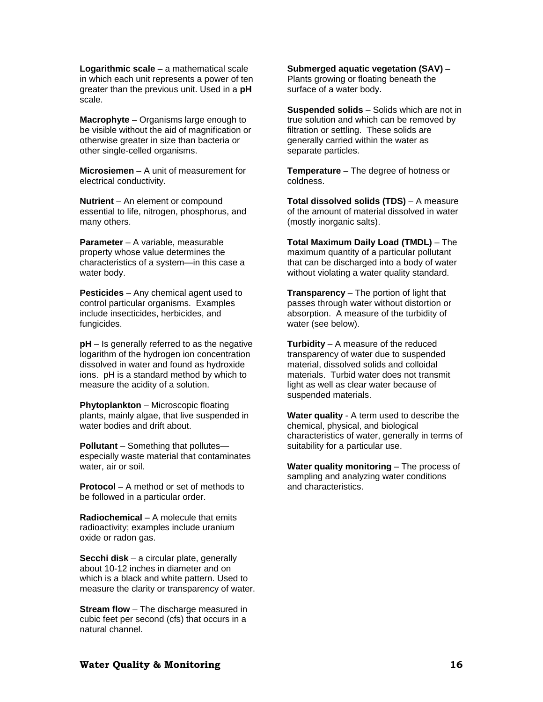**Logarithmic scale** – a mathematical scale in which each unit represents a power of ten greater than the previous unit. Used in a **pH**  scale.

**Macrophyte** – Organisms large enough to be visible without the aid of magnification or otherwise greater in size than bacteria or other single-celled organisms.

**Microsiemen** – A unit of measurement for electrical conductivity.

**Nutrient** – An element or compound essential to life, nitrogen, phosphorus, and many others.

**Parameter** – A variable, measurable property whose value determines the characteristics of a system—in this case a water body.

**Pesticides** – Any chemical agent used to control particular organisms. Examples include insecticides, herbicides, and fungicides.

**pH** – Is generally referred to as the negative logarithm of the hydrogen ion concentration dissolved in water and found as hydroxide ions. pH is a standard method by which to measure the acidity of a solution.

**Phytoplankton** – Microscopic floating plants, mainly algae, that live suspended in water bodies and drift about.

**Pollutant** – Something that pollutes especially waste material that contaminates water, air or soil.

**Protocol** – A method or set of methods to be followed in a particular order.

**Radiochemical** – A molecule that emits radioactivity; examples include uranium oxide or radon gas.

**Secchi disk** – a circular plate, generally about 10-12 inches in diameter and on which is a black and white pattern. Used to measure the clarity or transparency of water.

**Stream flow** – The discharge measured in cubic feet per second (cfs) that occurs in a natural channel.

**Submerged aquatic vegetation (SAV)** – Plants growing or floating beneath the surface of a water body.

**Suspended solids** – Solids which are not in true solution and which can be removed by filtration or settling. These solids are generally carried within the water as separate particles.

**Temperature** – The degree of hotness or coldness.

**Total dissolved solids (TDS)** – A measure of the amount of material dissolved in water (mostly inorganic salts).

**Total Maximum Daily Load (TMDL)** – The maximum quantity of a particular pollutant that can be discharged into a body of water without violating a water quality standard.

**Transparency** – The portion of light that passes through water without distortion or absorption. A measure of the turbidity of water (see below).

**Turbidity** – A measure of the reduced transparency of water due to suspended material, dissolved solids and colloidal materials. Turbid water does not transmit light as well as clear water because of suspended materials.

**Water quality** - A term used to describe the chemical, physical, and biological characteristics of water, generally in terms of suitability for a particular use.

**Water quality monitoring** – The process of sampling and analyzing water conditions and characteristics.

### **Water Quality & Monitoring 16**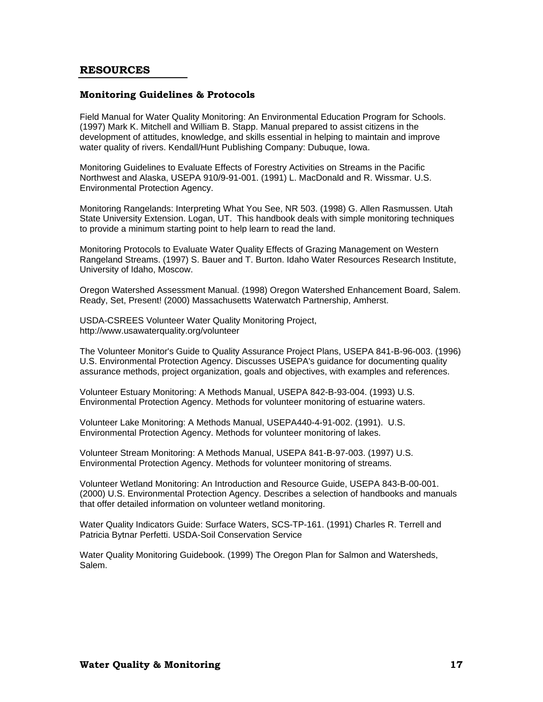#### **RESOURCES**

#### **Monitoring Guidelines & Protocols**

Field Manual for Water Quality Monitoring: An Environmental Education Program for Schools. (1997) Mark K. Mitchell and William B. Stapp. Manual prepared to assist citizens in the development of attitudes, knowledge, and skills essential in helping to maintain and improve water quality of rivers. Kendall/Hunt Publishing Company: Dubuque, Iowa.

Monitoring Guidelines to Evaluate Effects of Forestry Activities on Streams in the Pacific Northwest and Alaska, USEPA 910/9-91-001. (1991) L. MacDonald and R. Wissmar. U.S. Environmental Protection Agency.

Monitoring Rangelands: Interpreting What You See, NR 503. (1998) G. Allen Rasmussen. Utah State University Extension. Logan, UT. This handbook deals with simple monitoring techniques to provide a minimum starting point to help learn to read the land.

Monitoring Protocols to Evaluate Water Quality Effects of Grazing Management on Western Rangeland Streams. (1997) S. Bauer and T. Burton. Idaho Water Resources Research Institute, University of Idaho, Moscow.

Oregon Watershed Assessment Manual. (1998) Oregon Watershed Enhancement Board, Salem. Ready, Set, Present! (2000) Massachusetts Waterwatch Partnership, Amherst.

USDA-CSREES Volunteer Water Quality Monitoring Project, http://www.usawaterquality.org/volunteer

The Volunteer Monitor's Guide to Quality Assurance Project Plans, USEPA 841-B-96-003. (1996) U.S. Environmental Protection Agency. Discusses USEPA's guidance for documenting quality assurance methods, project organization, goals and objectives, with examples and references.

Volunteer Estuary Monitoring: A Methods Manual, USEPA 842-B-93-004. (1993) U.S. Environmental Protection Agency. Methods for volunteer monitoring of estuarine waters.

Volunteer Lake Monitoring: A Methods Manual, USEPA440-4-91-002. (1991). U.S. Environmental Protection Agency. Methods for volunteer monitoring of lakes.

Volunteer Stream Monitoring: A Methods Manual, USEPA 841-B-97-003. (1997) U.S. Environmental Protection Agency. Methods for volunteer monitoring of streams.

Volunteer Wetland Monitoring: An Introduction and Resource Guide, USEPA 843-B-00-001. (2000) U.S. Environmental Protection Agency. Describes a selection of handbooks and manuals that offer detailed information on volunteer wetland monitoring.

Water Quality Indicators Guide: Surface Waters, SCS-TP-161. (1991) Charles R. Terrell and Patricia Bytnar Perfetti. USDA-Soil Conservation Service

Water Quality Monitoring Guidebook. (1999) The Oregon Plan for Salmon and Watersheds, Salem.